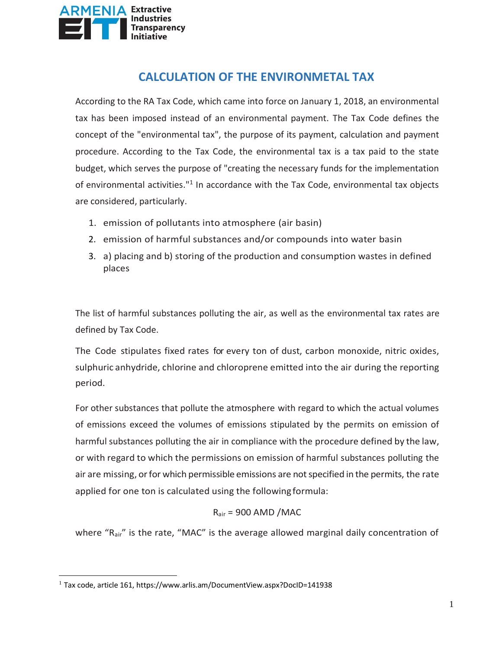

# **CALCULATION OF THE ENVIRONMETAL TAX**

According to the RA Tax Code, which came into force on January 1, 2018, an environmental tax has been imposed instead of an environmental payment. The Tax Code defines the concept of the "environmental tax", the purpose of its payment, calculation and payment procedure. According to the Tax Code, the environmental tax is a tax paid to the state budget, which serves the purpose of "creating the necessary funds for the implementation of environmental activities."<sup>1</sup> In accordance with the Tax Code, environmental tax objects are considered, particularly.

- 1. emission of pollutants into atmosphere (air basin)
- 2. emission of harmful substances and/or compounds into water basin
- 3. a) placing and b) storing of the production and consumption wastes in defined places

The list of harmful substances polluting the air, as well as the environmental tax rates are defined by Tax Code.

The Code stipulates fixed rates for every ton of dust, carbon monoxide, nitric oxides, sulphuric anhydride, chlorine and chloroprene emitted into the air during the reporting period.

For other substances that pollute the atmosphere with regard to which the actual volumes of emissions exceed the volumes of emissions stipulated by the permits on emission of harmful substances polluting the air in compliance with the procedure defined by the law, or with regard to which the permissions on emission of harmful substances polluting the air are missing, or for which permissible emissions are not specified in the permits, the rate applied for one ton is calculated using the following formula:

#### $R_{air}$  = 900 AMD /MAC

where " $R_{air}$ " is the rate, "MAC" is the average allowed marginal daily concentration of

l

<sup>1</sup> Tax code, article 161, https://www.arlis.am/DocumentView.aspx?DocID=141938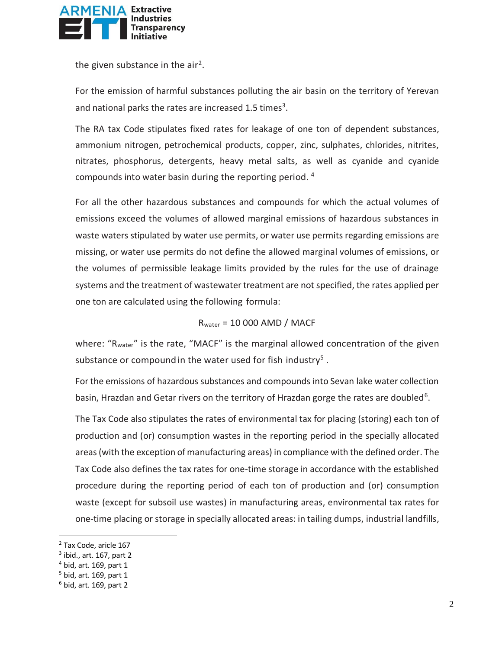

the given substance in the air<sup>2</sup>.

For the emission of harmful substances polluting the air basin on the territory of Yerevan and national parks the rates are increased 1.5 times<sup>3</sup>.

The RA tax Code stipulates fixed rates for leakage of one ton of dependent substances, ammonium nitrogen, petrochemical products, copper, zinc, sulphates, chlorides, nitrites, nitrates, phosphorus, detergents, heavy metal salts, as well as cyanide and cyanide compounds into water basin during the reporting period. 4

For all the other hazardous substances and compounds for which the actual volumes of emissions exceed the volumes of allowed marginal emissions of hazardous substances in waste waters stipulated by water use permits, or water use permits regarding emissions are missing, or water use permits do not define the allowed marginal volumes of emissions, or the volumes of permissible leakage limits provided by the rules for the use of drainage systems and the treatment of wastewater treatment are not specified, the rates applied per one ton are calculated using the following formula:

$$
R_{\text{water}} = 10\,000\,\text{AMD} / \text{MACF}
$$

where: "R<sub>water</sub>" is the rate, "MACF" is the marginal allowed concentration of the given substance or compound in the water used for fish industry<sup>5</sup>.

For the emissions of hazardous substances and compounds into Sevan lake water collection basin, Hrazdan and Getar rivers on the territory of Hrazdan gorge the rates are doubled<sup>6</sup>.

The Tax Code also stipulates the rates of environmental tax for placing (storing) each ton of production and (or) consumption wastes in the reporting period in the specially allocated areas (with the exception of manufacturing areas) in compliance with the defined order. The Tax Code also defines the tax rates for one-time storage in accordance with the established procedure during the reporting period of each ton of production and (or) consumption waste (except for subsoil use wastes) in manufacturing areas, environmental tax rates for one-time placing or storage in specially allocated areas: in tailing dumps, industrial landfills,

 $\overline{a}$ 

<sup>2</sup> Tax Code, aricle 167

 $3$  ibid., art. 167, part 2

 $<sup>4</sup>$  bid, art. 169, part 1</sup>

<sup>5</sup> bid, art. 169, part 1

 $6$  bid, art. 169, part 2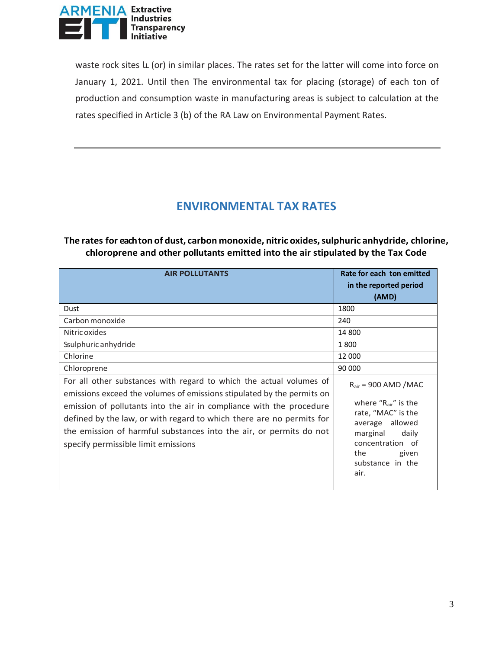

waste rock sites և (or) in similar places. The rates set for the latter will come into force on January 1, 2021. Until then The environmental tax for placing (storage) of each ton of production and consumption waste in manufacturing areas is subject to calculation at the rates specified in Article 3 (b) of the RA Law on Environmental Payment Rates.

# **ENVIRONMENTAL TAX RATES**

#### **The rates for eachton of dust, carbon monoxide, nitric oxides,sulphuric anhydride, chlorine, chloroprene and other pollutants emitted into the air stipulated by the Tax Code**

| <b>AIR POLLUTANTS</b>                                                                                                                                                                                                                                                                                                                                                                                      | Rate for each ton emitted<br>in the reported period<br>(AMD)                                                                                                                                |  |
|------------------------------------------------------------------------------------------------------------------------------------------------------------------------------------------------------------------------------------------------------------------------------------------------------------------------------------------------------------------------------------------------------------|---------------------------------------------------------------------------------------------------------------------------------------------------------------------------------------------|--|
| Dust                                                                                                                                                                                                                                                                                                                                                                                                       | 1800                                                                                                                                                                                        |  |
| Carbon monoxide<br>Nitric oxides                                                                                                                                                                                                                                                                                                                                                                           | 240<br>14 800                                                                                                                                                                               |  |
| Ssulphuric anhydride                                                                                                                                                                                                                                                                                                                                                                                       | 1800                                                                                                                                                                                        |  |
| Chlorine<br>Chloroprene                                                                                                                                                                                                                                                                                                                                                                                    | 12 000<br>90 000                                                                                                                                                                            |  |
| For all other substances with regard to which the actual volumes of<br>emissions exceed the volumes of emissions stipulated by the permits on<br>emission of pollutants into the air in compliance with the procedure<br>defined by the law, or with regard to which there are no permits for<br>the emission of harmful substances into the air, or permits do not<br>specify permissible limit emissions | $R_{\text{air}}$ = 900 AMD /MAC<br>where " $R_{air}$ " is the<br>rate, "MAC" is the<br>average allowed<br>marginal<br>daily<br>concentration of<br>the<br>given<br>substance in the<br>air. |  |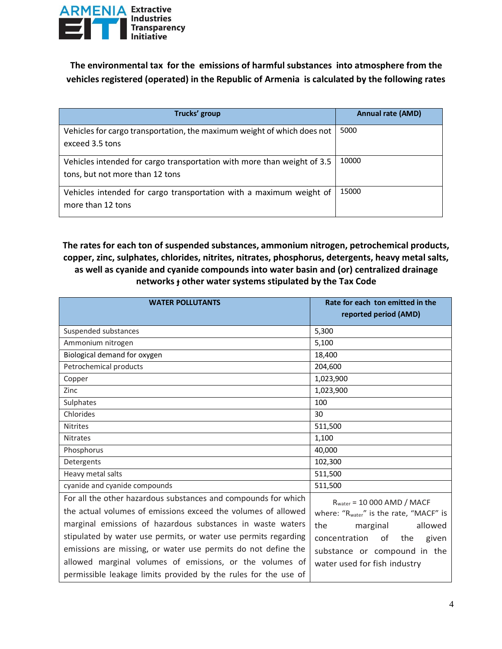

**The environmental tax for the emissions of harmful substances into atmosphere from the vehicles registered (operated) in the Republic of Armenia is calculated by the following rates**

| Trucks' group                                                                                              | <b>Annual rate (AMD)</b> |
|------------------------------------------------------------------------------------------------------------|--------------------------|
| Vehicles for cargo transportation, the maximum weight of which does not<br>exceed 3.5 tons                 | 5000                     |
| Vehicles intended for cargo transportation with more than weight of 3.5<br>tons, but not more than 12 tons | 10000                    |
| Vehicles intended for cargo transportation with a maximum weight of<br>more than 12 tons                   | 15000                    |

### **The rates for each ton of suspended substances, ammonium nitrogen, petrochemical products, copper, zinc, sulphates, chlorides, nitrites, nitrates, phosphorus, detergents, heavy metal salts, as well as cyanide and cyanide compounds into water basin and (or) centralized drainage networks և other water systems stipulated by the Tax Code**

| <b>WATER POLLUTANTS</b>                                         | Rate for each ton emitted in the<br>reported period (AMD) |  |
|-----------------------------------------------------------------|-----------------------------------------------------------|--|
| Suspended substances                                            | 5,300                                                     |  |
| Ammonium nitrogen                                               | 5,100                                                     |  |
| Biological demand for oxygen                                    | 18,400                                                    |  |
| Petrochemical products                                          | 204,600                                                   |  |
| Copper                                                          | 1,023,900                                                 |  |
| Zinc                                                            | 1,023,900                                                 |  |
| Sulphates                                                       | 100                                                       |  |
| Chlorides                                                       | 30                                                        |  |
| <b>Nitrites</b>                                                 | 511,500                                                   |  |
| <b>Nitrates</b>                                                 | 1,100                                                     |  |
| Phosphorus                                                      | 40,000                                                    |  |
| Detergents                                                      | 102,300                                                   |  |
| Heavy metal salts                                               | 511,500                                                   |  |
| cyanide and cyanide compounds                                   | 511,500                                                   |  |
| For all the other hazardous substances and compounds for which  | $Rwater = 10 000 AMD / MACF$                              |  |
| the actual volumes of emissions exceed the volumes of allowed   | where: "Rwater" is the rate, "MACF" is                    |  |
| marginal emissions of hazardous substances in waste waters      | the<br>marginal<br>allowed                                |  |
| stipulated by water use permits, or water use permits regarding | concentration<br>of the<br>given                          |  |
| emissions are missing, or water use permits do not define the   | substance or compound in the                              |  |
| allowed marginal volumes of emissions, or the volumes of        | water used for fish industry                              |  |
| permissible leakage limits provided by the rules for the use of |                                                           |  |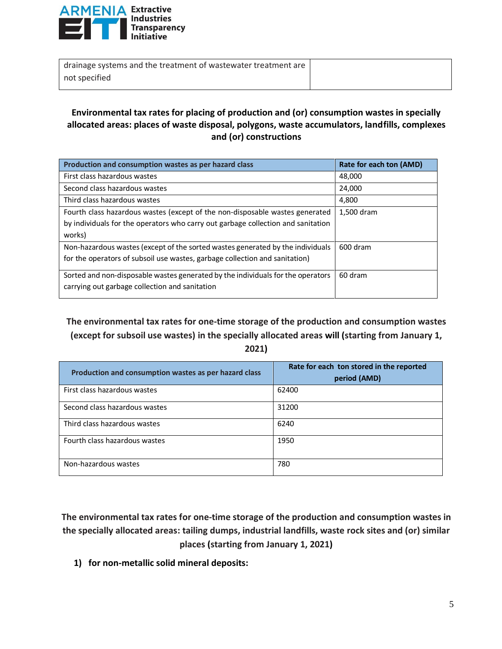

| drainage systems and the treatment of wastewater treatment are |  |
|----------------------------------------------------------------|--|
| not specified                                                  |  |

#### **Environmental tax rates for placing of production and (or) consumption wastes in specially allocated areas: places of waste disposal, polygons, waste accumulators, landfills, complexes and (or) constructions**

| Production and consumption wastes as per hazard class                            | Rate for each ton (AMD) |
|----------------------------------------------------------------------------------|-------------------------|
| First class hazardous wastes                                                     | 48,000                  |
| Second class hazardous wastes                                                    | 24,000                  |
| Third class hazardous wastes                                                     | 4,800                   |
| Fourth class hazardous wastes (except of the non-disposable wastes generated     | 1,500 dram              |
| by individuals for the operators who carry out garbage collection and sanitation |                         |
| works)                                                                           |                         |
| Non-hazardous wastes (except of the sorted wastes generated by the individuals   | 600 dram                |
| for the operators of subsoil use wastes, garbage collection and sanitation)      |                         |
| Sorted and non-disposable wastes generated by the individuals for the operators  | 60 dram                 |
| carrying out garbage collection and sanitation                                   |                         |

## **The environmental tax rates for one-time storage of the production and consumption wastes (except for subsoil use wastes) in the specially allocated areas will (starting from January 1, 2021)**

| Production and consumption wastes as per hazard class | Rate for each ton stored in the reported<br>period (AMD) |
|-------------------------------------------------------|----------------------------------------------------------|
| First class hazardous wastes                          | 62400                                                    |
| Second class hazardous wastes                         | 31200                                                    |
| Third class hazardous wastes                          | 6240                                                     |
| Fourth class hazardous wastes                         | 1950                                                     |
| Non-hazardous wastes                                  | 780                                                      |

**The environmental tax rates for one-time storage of the production and consumption wastes in the specially allocated areas: tailing dumps, industrial landfills, waste rock sites and (or) similar places (starting from January 1, 2021)**

**1) for non-metallic solid mineral deposits:**